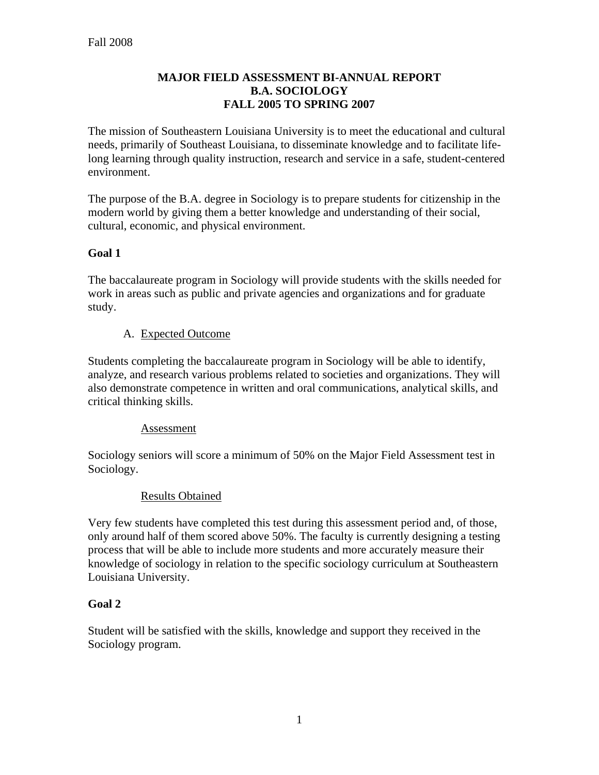### **MAJOR FIELD ASSESSMENT BI-ANNUAL REPORT B.A. SOCIOLOGY FALL 2005 TO SPRING 2007**

The mission of Southeastern Louisiana University is to meet the educational and cultural needs, primarily of Southeast Louisiana, to disseminate knowledge and to facilitate lifelong learning through quality instruction, research and service in a safe, student-centered environment.

The purpose of the B.A. degree in Sociology is to prepare students for citizenship in the modern world by giving them a better knowledge and understanding of their social, cultural, economic, and physical environment.

# **Goal 1**

The baccalaureate program in Sociology will provide students with the skills needed for work in areas such as public and private agencies and organizations and for graduate study.

### A. Expected Outcome

Students completing the baccalaureate program in Sociology will be able to identify, analyze, and research various problems related to societies and organizations. They will also demonstrate competence in written and oral communications, analytical skills, and critical thinking skills.

#### Assessment

Sociology seniors will score a minimum of 50% on the Major Field Assessment test in Sociology.

#### Results Obtained

Very few students have completed this test during this assessment period and, of those, only around half of them scored above 50%. The faculty is currently designing a testing process that will be able to include more students and more accurately measure their knowledge of sociology in relation to the specific sociology curriculum at Southeastern Louisiana University.

### **Goal 2**

Student will be satisfied with the skills, knowledge and support they received in the Sociology program.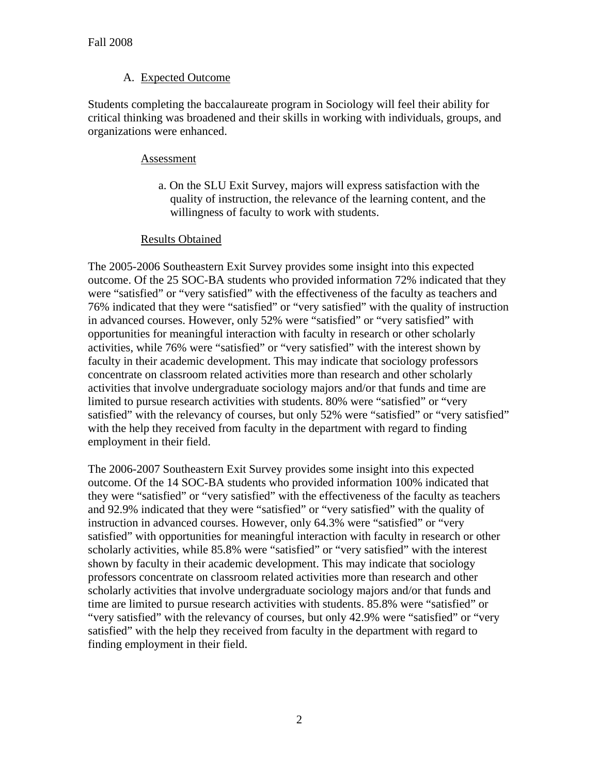### A. Expected Outcome

Students completing the baccalaureate program in Sociology will feel their ability for critical thinking was broadened and their skills in working with individuals, groups, and organizations were enhanced.

### Assessment

 a. On the SLU Exit Survey, majors will express satisfaction with the quality of instruction, the relevance of the learning content, and the willingness of faculty to work with students.

#### Results Obtained

The 2005-2006 Southeastern Exit Survey provides some insight into this expected outcome. Of the 25 SOC-BA students who provided information 72% indicated that they were "satisfied" or "very satisfied" with the effectiveness of the faculty as teachers and 76% indicated that they were "satisfied" or "very satisfied" with the quality of instruction in advanced courses. However, only 52% were "satisfied" or "very satisfied" with opportunities for meaningful interaction with faculty in research or other scholarly activities, while 76% were "satisfied" or "very satisfied" with the interest shown by faculty in their academic development. This may indicate that sociology professors concentrate on classroom related activities more than research and other scholarly activities that involve undergraduate sociology majors and/or that funds and time are limited to pursue research activities with students. 80% were "satisfied" or "very satisfied" with the relevancy of courses, but only 52% were "satisfied" or "very satisfied" with the help they received from faculty in the department with regard to finding employment in their field.

The 2006-2007 Southeastern Exit Survey provides some insight into this expected outcome. Of the 14 SOC-BA students who provided information 100% indicated that they were "satisfied" or "very satisfied" with the effectiveness of the faculty as teachers and 92.9% indicated that they were "satisfied" or "very satisfied" with the quality of instruction in advanced courses. However, only 64.3% were "satisfied" or "very satisfied" with opportunities for meaningful interaction with faculty in research or other scholarly activities, while 85.8% were "satisfied" or "very satisfied" with the interest shown by faculty in their academic development. This may indicate that sociology professors concentrate on classroom related activities more than research and other scholarly activities that involve undergraduate sociology majors and/or that funds and time are limited to pursue research activities with students. 85.8% were "satisfied" or "very satisfied" with the relevancy of courses, but only 42.9% were "satisfied" or "very satisfied" with the help they received from faculty in the department with regard to finding employment in their field.